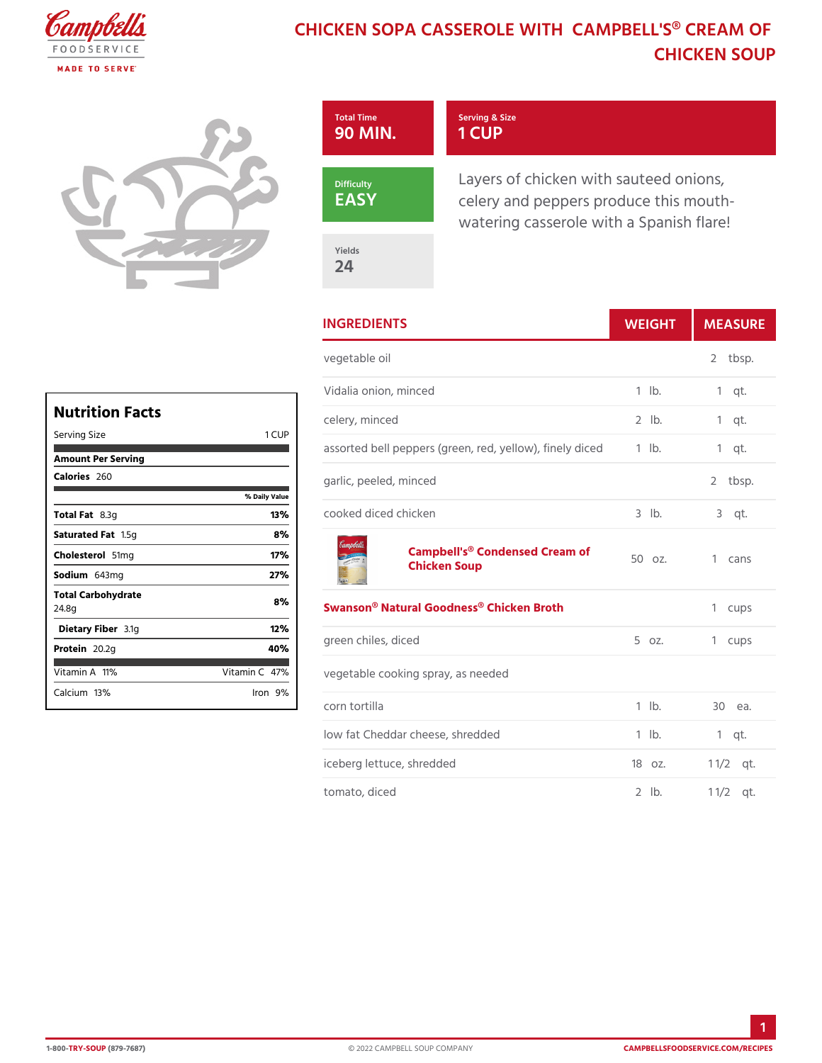## CHICKEN SOPA CASSEROLE WITH CAMP CHICKEN SO



| <b>INGREDIENTS</b>                                         | WEIGH        |   | MEASU           |
|------------------------------------------------------------|--------------|---|-----------------|
| vegetable oil                                              |              |   | 2 tbsp.         |
| Vidalia onion, minced                                      | $1$ $1b$ .   |   | $1$ qt.         |
| celery, minced                                             | $2$ $1b$ .   |   | $1$ qt.         |
| assorted bell peppers (green, red, yelllow), fimelgytdiced |              |   |                 |
| garlic, peeled, minced                                     |              | 2 | tbsp.           |
| cooked diced chicken                                       | 3 lb. 3 qt.  |   |                 |
| Campbell's® Condensed C58am of<br>Chicken Soup             |              |   | 1 cans          |
| Swanson® Natural Goodness® Chicken Broth 1 cups            |              |   |                 |
| green chiles, diced                                        | 5 oz. 1 cups |   |                 |
| vegetable cooking spray, as needed                         |              |   |                 |
| corn tortilla                                              | $1$ $1b$ .   |   | 30 еа.          |
| low fat Cheddar cheese, shredded 1 lb.                     |              |   | $1$ qt.         |
| iceberg lettuce, shredded                                  | 180z.        |   | $1 \frac{1}{2}$ |
| tomato, diced                                              | $2$ $1b$ .   |   | $1 \t1/2qt.$    |

| Nutrition Facts             |               |
|-----------------------------|---------------|
| Serving Size                | 1 C U P       |
| Amount Per Serving          |               |
| Calorie2s60                 |               |
|                             | % Daily Vallu |
| Total F&at3g                | 13%           |
| Saturated 1F.ស5េ            | 8 %           |
| Choleste 5d Img             | 17%           |
| Sodium 643 mg               | 27%           |
| Total Carbohydrate<br>24.8g | 8%            |
| Dietary F3ib1eg             | 12%           |
| Protei <sub>20.2g</sub>     | 40%           |
| Vitamin1A%                  | Vitamin4C%    |
| Calcium <sup>3</sup> %      | lron9%        |

ī